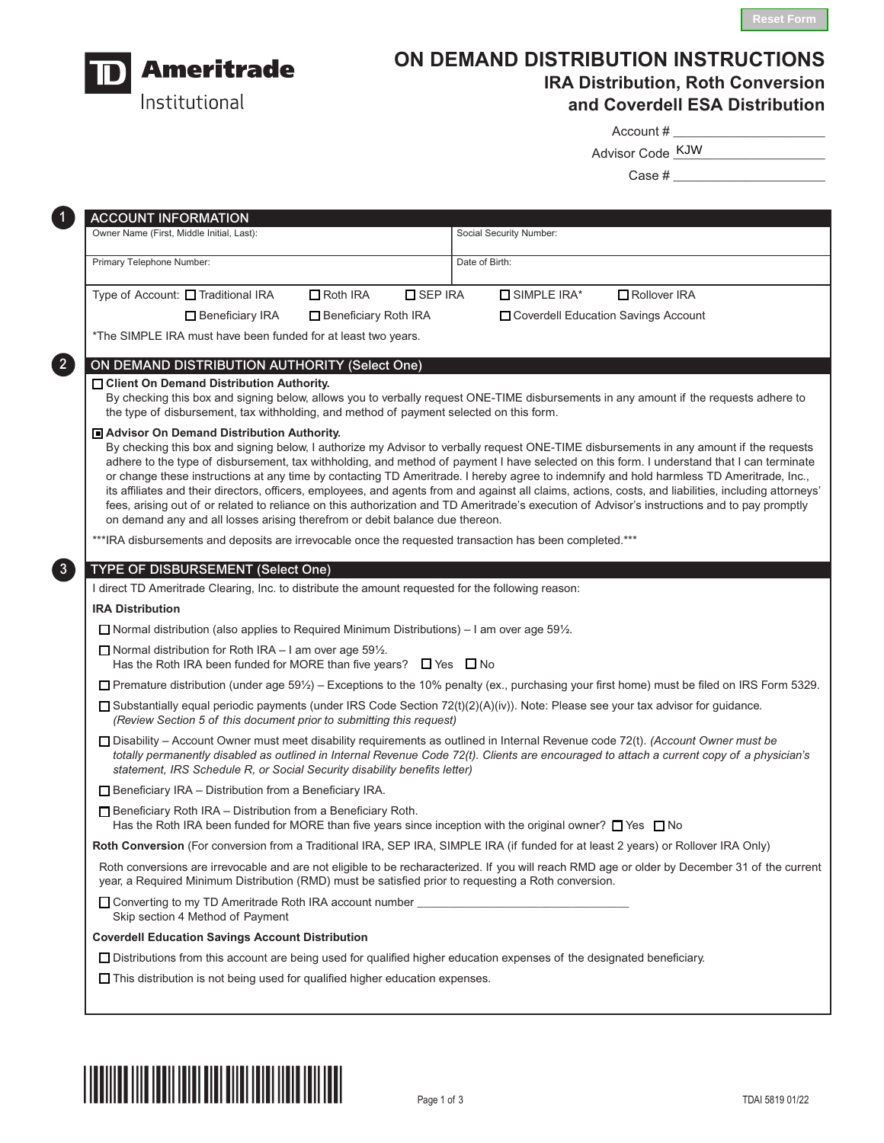

# **ON DEMAND DISTRIBUTION INSTRUCTIONS IRA Distribution, Roth Conversion and Coverdell ESA Distribution**

Account #

Advisor Code \_\_\_\_\_\_\_\_\_\_\_\_\_\_\_\_\_\_\_\_\_ KJW

Case # \_\_\_\_\_\_\_\_\_\_\_\_\_\_\_\_\_\_\_\_\_

| Primary Telephone Number: |                                                                                                                                                                                            |                      |                  |                |                    |                                                                                                                                                                                                                                                                                                                                                                                                                                                                                                                                                                                                                                                                                                                                              |
|---------------------------|--------------------------------------------------------------------------------------------------------------------------------------------------------------------------------------------|----------------------|------------------|----------------|--------------------|----------------------------------------------------------------------------------------------------------------------------------------------------------------------------------------------------------------------------------------------------------------------------------------------------------------------------------------------------------------------------------------------------------------------------------------------------------------------------------------------------------------------------------------------------------------------------------------------------------------------------------------------------------------------------------------------------------------------------------------------|
|                           |                                                                                                                                                                                            |                      |                  | Date of Birth: |                    |                                                                                                                                                                                                                                                                                                                                                                                                                                                                                                                                                                                                                                                                                                                                              |
|                           | Type of Account: □ Traditional IRA                                                                                                                                                         | $\Box$ Roth IRA      | <b>O</b> SEP IRA |                | $\Box$ SIMPLE IRA* | Rollover IRA                                                                                                                                                                                                                                                                                                                                                                                                                                                                                                                                                                                                                                                                                                                                 |
|                           | Beneficiary IRA                                                                                                                                                                            | Beneficiary Roth IRA |                  |                |                    | Coverdell Education Savings Account                                                                                                                                                                                                                                                                                                                                                                                                                                                                                                                                                                                                                                                                                                          |
|                           | *The SIMPLE IRA must have been funded for at least two years.                                                                                                                              |                      |                  |                |                    |                                                                                                                                                                                                                                                                                                                                                                                                                                                                                                                                                                                                                                                                                                                                              |
|                           | ON DEMAND DISTRIBUTION AUTHORITY (Select One)                                                                                                                                              |                      |                  |                |                    |                                                                                                                                                                                                                                                                                                                                                                                                                                                                                                                                                                                                                                                                                                                                              |
|                           | □ Client On Demand Distribution Authority.<br>the type of disbursement, tax withholding, and method of payment selected on this form.                                                      |                      |                  |                |                    | By checking this box and signing below, allows you to verbally request ONE-TIME disbursements in any amount if the requests adhere to                                                                                                                                                                                                                                                                                                                                                                                                                                                                                                                                                                                                        |
|                           | Advisor On Demand Distribution Authority.<br>on demand any and all losses arising therefrom or debit balance due thereon.                                                                  |                      |                  |                |                    | By checking this box and signing below, I authorize my Advisor to verbally request ONE-TIME disbursements in any amount if the requests<br>adhere to the type of disbursement, tax withholding, and method of payment I have selected on this form. I understand that I can terminate<br>or change these instructions at any time by contacting TD Ameritrade. I hereby agree to indemnify and hold harmless TD Ameritrade, Inc.,<br>its affiliates and their directors, officers, employees, and agents from and against all claims, actions, costs, and liabilities, including attorneys'<br>fees, arising out of or related to reliance on this authorization and TD Ameritrade's execution of Advisor's instructions and to pay promptly |
|                           | *** IRA disbursements and deposits are irrevocable once the requested transaction has been completed.***                                                                                   |                      |                  |                |                    |                                                                                                                                                                                                                                                                                                                                                                                                                                                                                                                                                                                                                                                                                                                                              |
|                           | TYPE OF DISBURSEMENT (Select One)                                                                                                                                                          |                      |                  |                |                    |                                                                                                                                                                                                                                                                                                                                                                                                                                                                                                                                                                                                                                                                                                                                              |
|                           | I direct TD Ameritrade Clearing, Inc. to distribute the amount requested for the following reason:                                                                                         |                      |                  |                |                    |                                                                                                                                                                                                                                                                                                                                                                                                                                                                                                                                                                                                                                                                                                                                              |
| <b>IRA Distribution</b>   |                                                                                                                                                                                            |                      |                  |                |                    |                                                                                                                                                                                                                                                                                                                                                                                                                                                                                                                                                                                                                                                                                                                                              |
|                           | □ Normal distribution (also applies to Required Minimum Distributions) – I am over age 59 $\frac{1}{2}$ .                                                                                  |                      |                  |                |                    |                                                                                                                                                                                                                                                                                                                                                                                                                                                                                                                                                                                                                                                                                                                                              |
|                           | $\Box$ Normal distribution for Roth IRA – I am over age 59%.<br>Has the Roth IRA been funded for MORE than five years? $\Box$ Yes $\Box$ No                                                |                      |                  |                |                    |                                                                                                                                                                                                                                                                                                                                                                                                                                                                                                                                                                                                                                                                                                                                              |
|                           |                                                                                                                                                                                            |                      |                  |                |                    | $\Box$ Premature distribution (under age 59½) – Exceptions to the 10% penalty (ex., purchasing your first home) must be filed on IRS Form 5329.                                                                                                                                                                                                                                                                                                                                                                                                                                                                                                                                                                                              |
|                           | (Review Section 5 of this document prior to submitting this request)                                                                                                                       |                      |                  |                |                    | □ Substantially equal periodic payments (under IRS Code Section 72(t)(2)(A)(iv)). Note: Please see your tax advisor for guidance.                                                                                                                                                                                                                                                                                                                                                                                                                                                                                                                                                                                                            |
|                           | statement, IRS Schedule R, or Social Security disability benefits letter)                                                                                                                  |                      |                  |                |                    | □ Disability - Account Owner must meet disability requirements as outlined in Internal Revenue code 72(t). (Account Owner must be<br>totally permanently disabled as outlined in Internal Revenue Code 72(t). Clients are encouraged to attach a current copy of a physician's                                                                                                                                                                                                                                                                                                                                                                                                                                                               |
|                           | $\Box$ Beneficiary IRA – Distribution from a Beneficiary IRA.                                                                                                                              |                      |                  |                |                    |                                                                                                                                                                                                                                                                                                                                                                                                                                                                                                                                                                                                                                                                                                                                              |
|                           | $\Box$ Beneficiary Roth IRA - Distribution from a Beneficiary Roth.<br>Has the Roth IRA been funded for MORE than five years since inception with the original owner? $\Box$ Yes $\Box$ No |                      |                  |                |                    |                                                                                                                                                                                                                                                                                                                                                                                                                                                                                                                                                                                                                                                                                                                                              |
|                           |                                                                                                                                                                                            |                      |                  |                |                    | Roth Conversion (For conversion from a Traditional IRA, SEP IRA, SIMPLE IRA (if funded for at least 2 years) or Rollover IRA Only)                                                                                                                                                                                                                                                                                                                                                                                                                                                                                                                                                                                                           |
|                           | year, a Required Minimum Distribution (RMD) must be satisfied prior to requesting a Roth conversion.                                                                                       |                      |                  |                |                    | Roth conversions are irrevocable and are not eligible to be recharacterized. If you will reach RMD age or older by December 31 of the current                                                                                                                                                                                                                                                                                                                                                                                                                                                                                                                                                                                                |
|                           | Skip section 4 Method of Payment                                                                                                                                                           |                      |                  |                |                    |                                                                                                                                                                                                                                                                                                                                                                                                                                                                                                                                                                                                                                                                                                                                              |
|                           | <b>Coverdell Education Savings Account Distribution</b>                                                                                                                                    |                      |                  |                |                    |                                                                                                                                                                                                                                                                                                                                                                                                                                                                                                                                                                                                                                                                                                                                              |
|                           |                                                                                                                                                                                            |                      |                  |                |                    | □ Distributions from this account are being used for qualified higher education expenses of the designated beneficiary.                                                                                                                                                                                                                                                                                                                                                                                                                                                                                                                                                                                                                      |

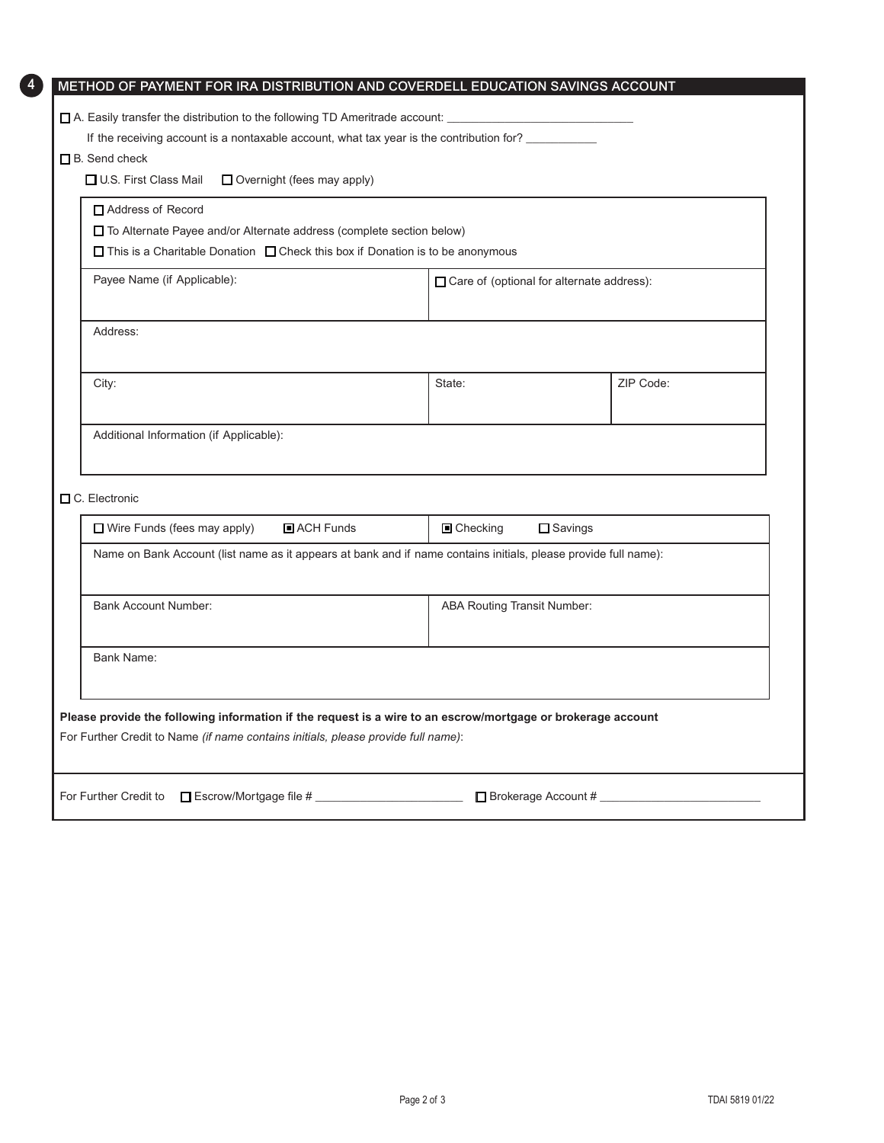| □ U.S. First Class Mail<br>$\Box$ Overnight (fees may apply)                                                                                                             |            |                                    |  |  |  |  |  |  |
|--------------------------------------------------------------------------------------------------------------------------------------------------------------------------|------------|------------------------------------|--|--|--|--|--|--|
| Address of Record                                                                                                                                                        |            |                                    |  |  |  |  |  |  |
| $\Box$ To Alternate Payee and/or Alternate address (complete section below)<br>$\Box$ This is a Charitable Donation $\Box$ Check this box if Donation is to be anonymous |            |                                    |  |  |  |  |  |  |
| Payee Name (if Applicable):<br>□ Care of (optional for alternate address):                                                                                               |            |                                    |  |  |  |  |  |  |
| Address:                                                                                                                                                                 |            |                                    |  |  |  |  |  |  |
| City:                                                                                                                                                                    | State:     | ZIP Code:                          |  |  |  |  |  |  |
| Additional Information (if Applicable):                                                                                                                                  |            |                                    |  |  |  |  |  |  |
| C. Electronic<br>$\Box$ Wire Funds (fees may apply)<br>ACH Funds                                                                                                         | ■ Checking |                                    |  |  |  |  |  |  |
| □ Savings<br>Name on Bank Account (list name as it appears at bank and if name contains initials, please provide full name):                                             |            |                                    |  |  |  |  |  |  |
| <b>Bank Account Number:</b>                                                                                                                                              |            | <b>ABA Routing Transit Number:</b> |  |  |  |  |  |  |
| <b>Bank Name:</b>                                                                                                                                                        |            |                                    |  |  |  |  |  |  |
|                                                                                                                                                                          |            |                                    |  |  |  |  |  |  |